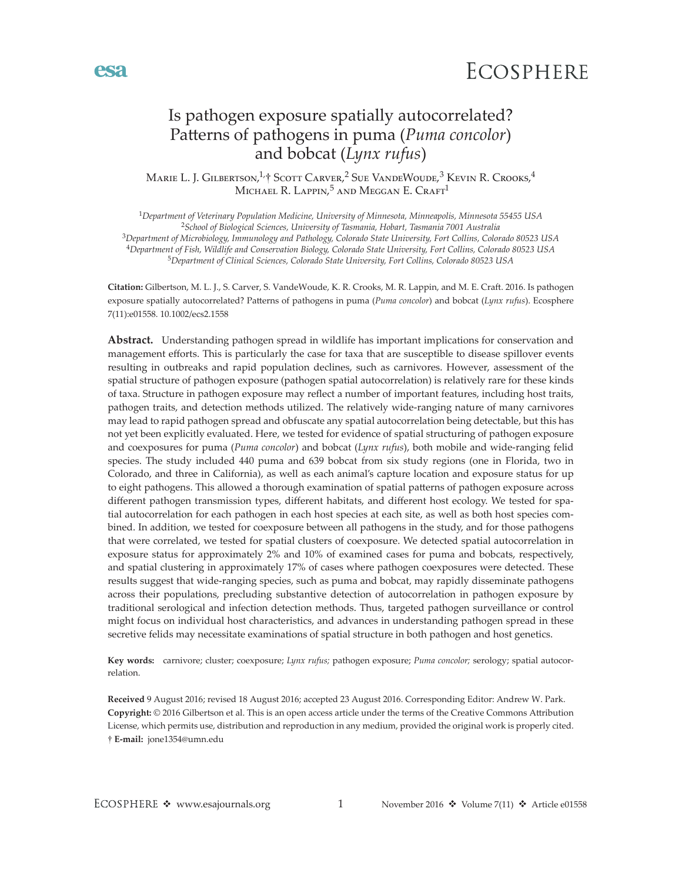

# Is pathogen exposure spatially autocorrelated? Patterns of pathogens in puma (*Puma concolor*) and bobcat (*Lynx rufus*)

MARIE L. J. GILBERTSON,<sup>1,</sup>† SCOTT CARVER,<sup>2</sup> SUE VANDEWOUDE,<sup>3</sup> KEVIN R. CROOKS,<sup>4</sup> MICHAEL R. LAPPIN,<sup>5</sup> AND MEGGAN E. CRAFT<sup>1</sup>

*Department of Veterinary Population Medicine, University of Minnesota, Minneapolis, Minnesota 55455 USA School of Biological Sciences, University of Tasmania, Hobart, Tasmania 7001 Australia Department of Microbiology, Immunology and Pathology, Colorado State University, Fort Collins, Colorado 80523 USA Department of Fish, Wildlife and Conservation Biology, Colorado State University, Fort Collins, Colorado 80523 USA Department of Clinical Sciences, Colorado State University, Fort Collins, Colorado 80523 USA*

**Citation:** Gilbertson, M. L. J., S. Carver, S. VandeWoude, K. R. Crooks, M. R. Lappin, and M. E. Craft. 2016. Is pathogen exposure spatially autocorrelated? Patterns of pathogens in puma (*Puma concolor*) and bobcat (*Lynx rufus*). Ecosphere 7(11):e01558. [10.1002/ecs2.1558](http://dx.doi.org/10.1002/ecs2.1558)

**Abstract.** Understanding pathogen spread in wildlife has important implications for conservation and management efforts. This is particularly the case for taxa that are susceptible to disease spillover events resulting in outbreaks and rapid population declines, such as carnivores. However, assessment of the spatial structure of pathogen exposure (pathogen spatial autocorrelation) is relatively rare for these kinds of taxa. Structure in pathogen exposure may reflect a number of important features, including host traits, pathogen traits, and detection methods utilized. The relatively wide-ranging nature of many carnivores may lead to rapid pathogen spread and obfuscate any spatial autocorrelation being detectable, but this has not yet been explicitly evaluated. Here, we tested for evidence of spatial structuring of pathogen exposure and coexposures for puma (*Puma concolor*) and bobcat (*Lynx rufus*), both mobile and wide-ranging felid species. The study included 440 puma and 639 bobcat from six study regions (one in Florida, two in Colorado, and three in California), as well as each animal's capture location and exposure status for up to eight pathogens. This allowed a thorough examination of spatial patterns of pathogen exposure across different pathogen transmission types, different habitats, and different host ecology. We tested for spatial autocorrelation for each pathogen in each host species at each site, as well as both host species combined. In addition, we tested for coexposure between all pathogens in the study, and for those pathogens that were correlated, we tested for spatial clusters of coexposure. We detected spatial autocorrelation in exposure status for approximately 2% and 10% of examined cases for puma and bobcats, respectively, and spatial clustering in approximately 17% of cases where pathogen coexposures were detected. These results suggest that wide-ranging species, such as puma and bobcat, may rapidly disseminate pathogens across their populations, precluding substantive detection of autocorrelation in pathogen exposure by traditional serological and infection detection methods. Thus, targeted pathogen surveillance or control might focus on individual host characteristics, and advances in understanding pathogen spread in these secretive felids may necessitate examinations of spatial structure in both pathogen and host genetics.

**Key words:** carnivore; cluster; coexposure; *Lynx rufus;* pathogen exposure; *Puma concolor;* serology; spatial autocorrelation.

**Received** 9 August 2016; revised 18 August 2016; accepted 23 August 2016. Corresponding Editor: Andrew W. Park. **Copyright:** © 2016 Gilbertson et al. This is an open access article under the terms of the [Creative Commons Attribution](http://creativecommons.org/licenses/by/3.0/) License, which permits use, distribution and reproduction in any medium, provided the original work is properly cited. † **E-mail:** jone1354@umn.edu

esa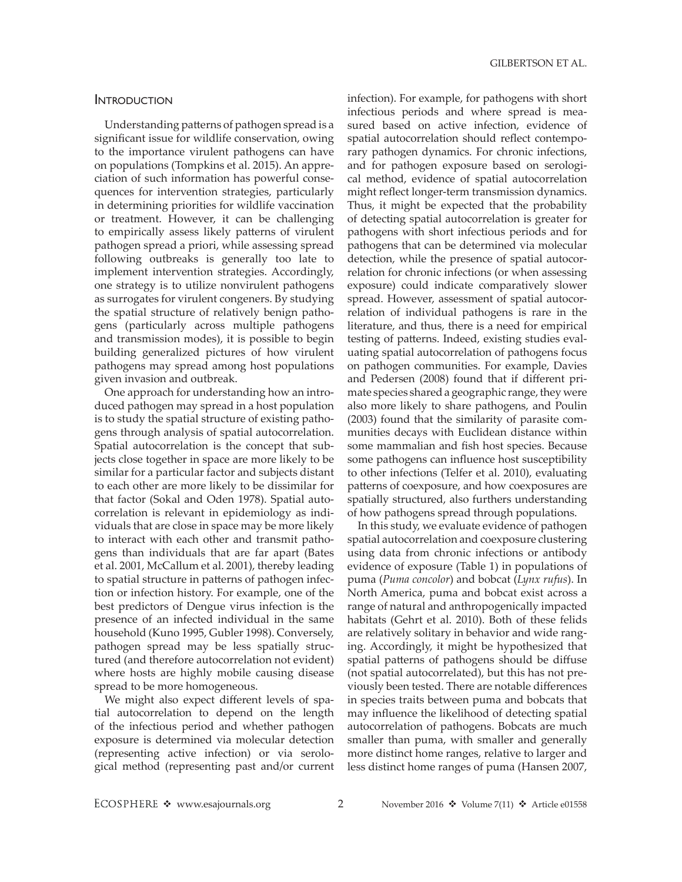## **INTRODUCTION**

Understanding patterns of pathogen spread is a significant issue for wildlife conservation, owing to the importance virulent pathogens can have on populations (Tompkins et al. 2015). An appreciation of such information has powerful consequences for intervention strategies, particularly in determining priorities for wildlife vaccination or treatment. However, it can be challenging to empirically assess likely patterns of virulent pathogen spread a priori, while assessing spread following outbreaks is generally too late to implement intervention strategies. Accordingly, one strategy is to utilize nonvirulent pathogens as surrogates for virulent congeners. By studying the spatial structure of relatively benign pathogens (particularly across multiple pathogens and transmission modes), it is possible to begin building generalized pictures of how virulent pathogens may spread among host populations given invasion and outbreak.

One approach for understanding how an introduced pathogen may spread in a host population is to study the spatial structure of existing pathogens through analysis of spatial autocorrelation. Spatial autocorrelation is the concept that subjects close together in space are more likely to be similar for a particular factor and subjects distant to each other are more likely to be dissimilar for that factor (Sokal and Oden 1978). Spatial autocorrelation is relevant in epidemiology as individuals that are close in space may be more likely to interact with each other and transmit pathogens than individuals that are far apart (Bates et al. 2001, McCallum et al. 2001), thereby leading to spatial structure in patterns of pathogen infection or infection history. For example, one of the best predictors of Dengue virus infection is the presence of an infected individual in the same household (Kuno 1995, Gubler 1998). Conversely, pathogen spread may be less spatially structured (and therefore autocorrelation not evident) where hosts are highly mobile causing disease spread to be more homogeneous.

We might also expect different levels of spatial autocorrelation to depend on the length of the infectious period and whether pathogen exposure is determined via molecular detection (representing active infection) or via serological method (representing past and/or current

infection). For example, for pathogens with short infectious periods and where spread is measured based on active infection, evidence of spatial autocorrelation should reflect contemporary pathogen dynamics. For chronic infections, and for pathogen exposure based on serological method, evidence of spatial autocorrelation might reflect longer-term transmission dynamics. Thus, it might be expected that the probability of detecting spatial autocorrelation is greater for pathogens with short infectious periods and for pathogens that can be determined via molecular detection, while the presence of spatial autocorrelation for chronic infections (or when assessing exposure) could indicate comparatively slower spread. However, assessment of spatial autocorrelation of individual pathogens is rare in the literature, and thus, there is a need for empirical testing of patterns. Indeed, existing studies evaluating spatial autocorrelation of pathogens focus on pathogen communities. For example, Davies and Pedersen (2008) found that if different primate species shared a geographic range, they were also more likely to share pathogens, and Poulin (2003) found that the similarity of parasite communities decays with Euclidean distance within some mammalian and fish host species. Because some pathogens can influence host susceptibility to other infections (Telfer et al. 2010), evaluating patterns of coexposure, and how coexposures are spatially structured, also furthers understanding of how pathogens spread through populations.

In this study, we evaluate evidence of pathogen spatial autocorrelation and coexposure clustering using data from chronic infections or antibody evidence of exposure (Table 1) in populations of puma (*Puma concolor*) and bobcat (*Lynx rufus*). In North America, puma and bobcat exist across a range of natural and anthropogenically impacted habitats (Gehrt et al. 2010). Both of these felids are relatively solitary in behavior and wide ranging. Accordingly, it might be hypothesized that spatial patterns of pathogens should be diffuse (not spatial autocorrelated), but this has not previously been tested. There are notable differences in species traits between puma and bobcats that may influence the likelihood of detecting spatial autocorrelation of pathogens. Bobcats are much smaller than puma, with smaller and generally more distinct home ranges, relative to larger and less distinct home ranges of puma (Hansen 2007,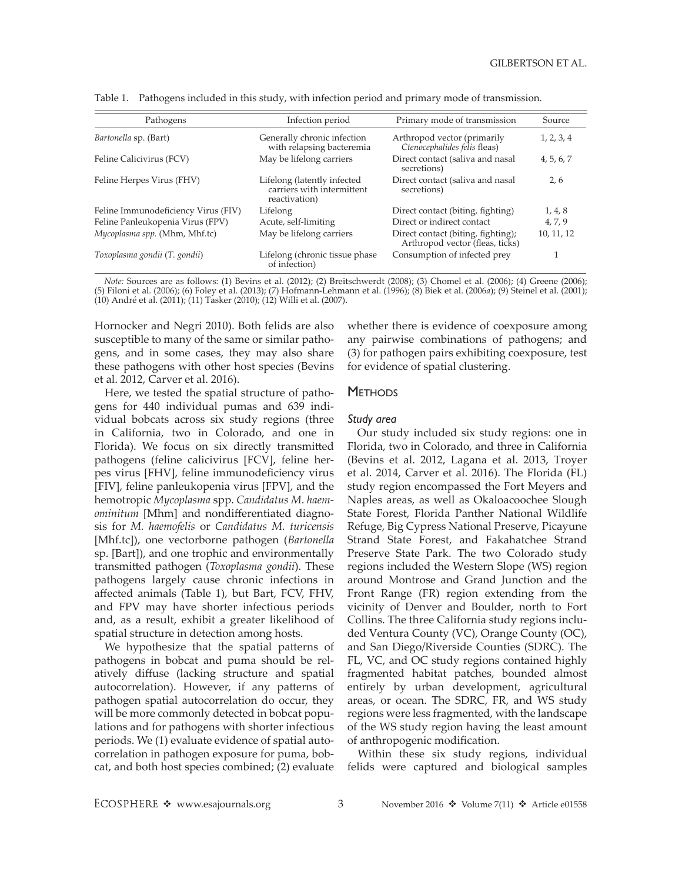| Pathogens                           | Infection period                                                           | Primary mode of transmission                                          | Source     |
|-------------------------------------|----------------------------------------------------------------------------|-----------------------------------------------------------------------|------------|
| Bartonella sp. (Bart)               | Generally chronic infection<br>with relapsing bacteremia                   | Arthropod vector (primarily<br>Ctenocephalides felis fleas)           | 1, 2, 3, 4 |
| Feline Calicivirus (FCV)            | May be lifelong carriers                                                   | Direct contact (saliva and nasal<br>secretions)                       | 4, 5, 6, 7 |
| Feline Herpes Virus (FHV)           | Lifelong (latently infected<br>carriers with intermittent<br>reactivation) | Direct contact (saliva and nasal<br>secretions)                       | 2, 6       |
| Feline Immunodeficiency Virus (FIV) | Lifelong                                                                   | Direct contact (biting, fighting)                                     | 1, 4, 8    |
| Feline Panleukopenia Virus (FPV)    | Acute, self-limiting                                                       | Direct or indirect contact                                            | 4, 7, 9    |
| Mycoplasma spp. (Mhm, Mhf.tc)       | May be lifelong carriers                                                   | Direct contact (biting, fighting);<br>Arthropod vector (fleas, ticks) | 10, 11, 12 |
| Toxoplasma gondii (T. gondii)       | Lifelong (chronic tissue phase)<br>of infection)                           | Consumption of infected prey                                          |            |

Table 1. Pathogens included in this study, with infection period and primary mode of transmission.

*Note:* Sources are as follows: (1) Bevins et al. (2012); (2) Breitschwerdt (2008); (3) Chomel et al. (2006); (4) Greene (2006); (5) Filoni et al. (2006); (6) Foley et al. (2013); (7) Hofmann-Lehmann et al. (1996); (8) Biek et al. (2006*a*); (9) Steinel et al. (2001); (10) André et al. (2011); (11) Tasker (2010); (12) Willi et al. (2007).

Hornocker and Negri 2010). Both felids are also susceptible to many of the same or similar pathogens, and in some cases, they may also share these pathogens with other host species (Bevins et al. 2012, Carver et al. 2016).

Here, we tested the spatial structure of pathogens for 440 individual pumas and 639 individual bobcats across six study regions (three in California, two in Colorado, and one in Florida). We focus on six directly transmitted pathogens (feline calicivirus [FCV], feline herpes virus [FHV], feline immunodeficiency virus [FIV], feline panleukopenia virus [FPV], and the hemotropic *Mycoplasma* spp. *Candidatus M*. *haemominitum* [Mhm] and nondifferentiated diagnosis for *M. haemofelis* or *Candidatus M. turicensis* [Mhf.tc]), one vectorborne pathogen (*Bartonella* sp. [Bart]), and one trophic and environmentally transmitted pathogen (*Toxoplasma gondii*). These pathogens largely cause chronic infections in affected animals (Table 1), but Bart, FCV, FHV, and FPV may have shorter infectious periods and, as a result, exhibit a greater likelihood of spatial structure in detection among hosts.

We hypothesize that the spatial patterns of pathogens in bobcat and puma should be relatively diffuse (lacking structure and spatial autocorrelation). However, if any patterns of pathogen spatial autocorrelation do occur, they will be more commonly detected in bobcat populations and for pathogens with shorter infectious periods. We (1) evaluate evidence of spatial autocorrelation in pathogen exposure for puma, bobcat, and both host species combined; (2) evaluate whether there is evidence of coexposure among any pairwise combinations of pathogens; and (3) for pathogen pairs exhibiting coexposure, test for evidence of spatial clustering.

## **METHODS**

#### *Study area*

Our study included six study regions: one in Florida, two in Colorado, and three in California (Bevins et al. 2012, Lagana et al. 2013, Troyer et al. 2014, Carver et al. 2016). The Florida (FL) study region encompassed the Fort Meyers and Naples areas, as well as Okaloacoochee Slough State Forest, Florida Panther National Wildlife Refuge, Big Cypress National Preserve, Picayune Strand State Forest, and Fakahatchee Strand Preserve State Park. The two Colorado study regions included the Western Slope (WS) region around Montrose and Grand Junction and the Front Range (FR) region extending from the vicinity of Denver and Boulder, north to Fort Collins. The three California study regions included Ventura County (VC), Orange County (OC), and San Diego/Riverside Counties (SDRC). The FL, VC, and OC study regions contained highly fragmented habitat patches, bounded almost entirely by urban development, agricultural areas, or ocean. The SDRC, FR, and WS study regions were less fragmented, with the landscape of the WS study region having the least amount of anthropogenic modification.

Within these six study regions, individual felids were captured and biological samples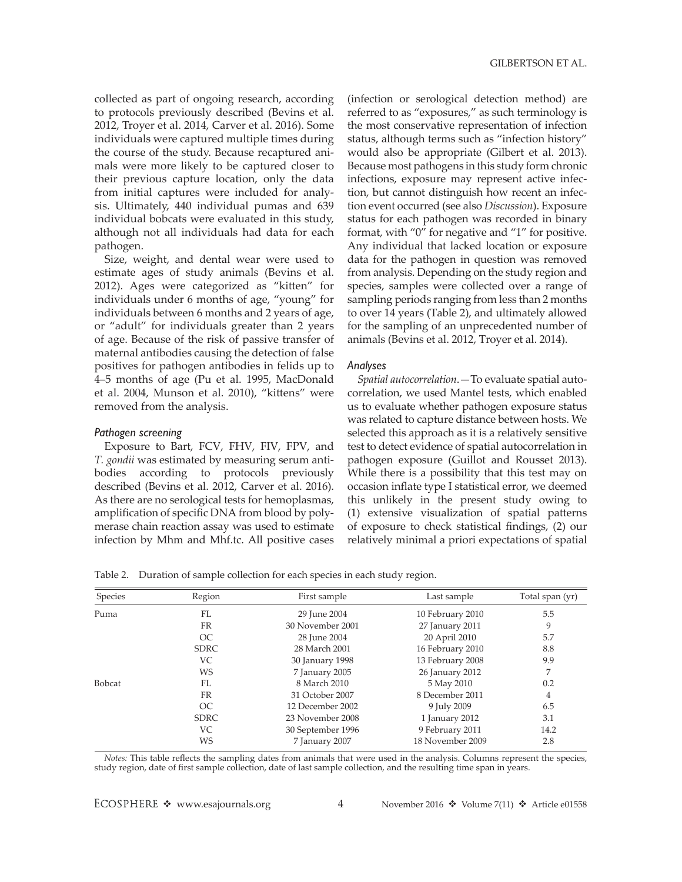collected as part of ongoing research, according to protocols previously described (Bevins et al. 2012, Troyer et al. 2014, Carver et al. 2016). Some individuals were captured multiple times during the course of the study. Because recaptured animals were more likely to be captured closer to their previous capture location, only the data from initial captures were included for analysis. Ultimately, 440 individual pumas and 639 individual bobcats were evaluated in this study, although not all individuals had data for each pathogen.

Size, weight, and dental wear were used to estimate ages of study animals (Bevins et al. 2012). Ages were categorized as "kitten" for individuals under 6 months of age, "young" for individuals between 6 months and 2 years of age, or "adult" for individuals greater than 2 years of age. Because of the risk of passive transfer of maternal antibodies causing the detection of false positives for pathogen antibodies in felids up to 4–5 months of age (Pu et al. 1995, MacDonald et al. 2004, Munson et al. 2010), "kittens" were removed from the analysis.

#### *Pathogen screening*

Exposure to Bart, FCV, FHV, FIV, FPV, and *T. gondii* was estimated by measuring serum antibodies according to protocols previously described (Bevins et al. 2012, Carver et al. 2016). As there are no serological tests for hemoplasmas, amplification of specific DNA from blood by polymerase chain reaction assay was used to estimate infection by Mhm and Mhf.tc. All positive cases (infection or serological detection method) are referred to as "exposures," as such terminology is the most conservative representation of infection status, although terms such as "infection history" would also be appropriate (Gilbert et al. 2013). Because most pathogens in this study form chronic infections, exposure may represent active infection, but cannot distinguish how recent an infection event occurred (see also *Discussion*). Exposure status for each pathogen was recorded in binary format, with "0" for negative and "1" for positive. Any individual that lacked location or exposure data for the pathogen in question was removed from analysis. Depending on the study region and species, samples were collected over a range of sampling periods ranging from less than 2 months to over 14 years (Table 2), and ultimately allowed for the sampling of an unprecedented number of animals (Bevins et al. 2012, Troyer et al. 2014).

#### *Analyses*

*Spatial autocorrelation*.—To evaluate spatial autocorrelation, we used Mantel tests, which enabled us to evaluate whether pathogen exposure status was related to capture distance between hosts. We selected this approach as it is a relatively sensitive test to detect evidence of spatial autocorrelation in pathogen exposure (Guillot and Rousset 2013). While there is a possibility that this test may on occasion inflate type I statistical error, we deemed this unlikely in the present study owing to (1) extensive visualization of spatial patterns of exposure to check statistical findings, (2) our relatively minimal a priori expectations of spatial

Table 2. Duration of sample collection for each species in each study region.

| Species       | Region      | First sample      | Last sample      | Total span (yr) |
|---------------|-------------|-------------------|------------------|-----------------|
| Puma          | FL          | 29 June 2004      | 10 February 2010 | 5.5             |
|               | FR          | 30 November 2001  | 27 January 2011  | 9               |
|               | OC          | 28 June 2004      | 20 April 2010    | 5.7             |
|               | <b>SDRC</b> | 28 March 2001     | 16 February 2010 | 8.8             |
|               | <b>VC</b>   | 30 January 1998   | 13 February 2008 | 9.9             |
|               | WS          | 7 January 2005    | 26 January 2012  | 7               |
| <b>Bobcat</b> | FL.         | 8 March 2010      | 5 May 2010       | 0.2             |
|               | FR          | 31 October 2007   | 8 December 2011  | 4               |
|               | OC          | 12 December 2002  | 9 July 2009      | 6.5             |
|               | <b>SDRC</b> | 23 November 2008  | 1 January 2012   | 3.1             |
|               | VC          | 30 September 1996 | 9 February 2011  | 14.2            |
|               | WS          | 7 January 2007    | 18 November 2009 | 2.8             |

*Notes:* This table reflects the sampling dates from animals that were used in the analysis. Columns represent the species, study region, date of first sample collection, date of last sample collection, and the resulting time span in years.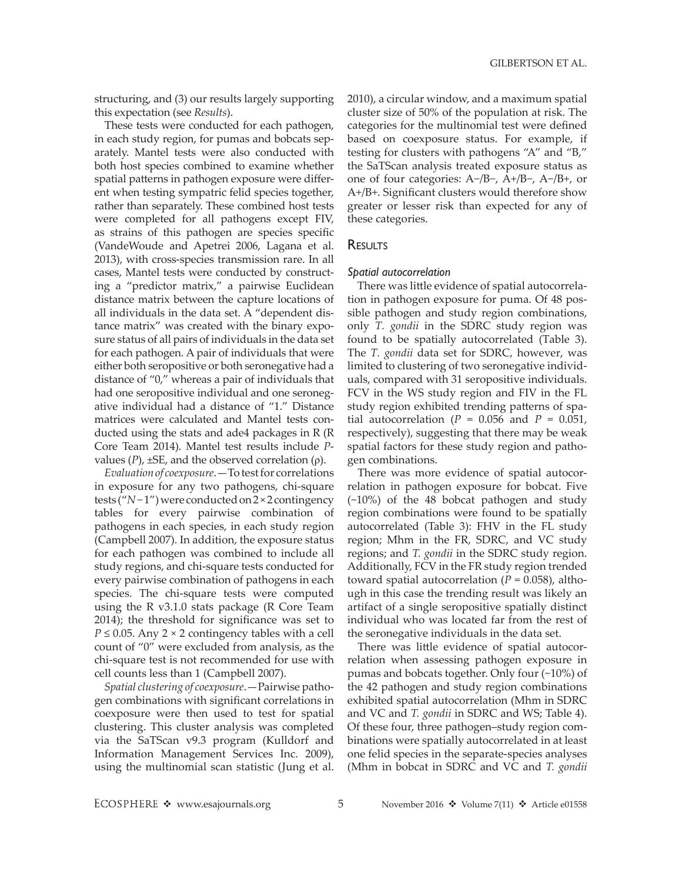structuring, and (3) our results largely supporting this expectation (see *Results*).

These tests were conducted for each pathogen, in each study region, for pumas and bobcats separately. Mantel tests were also conducted with both host species combined to examine whether spatial patterns in pathogen exposure were different when testing sympatric felid species together, rather than separately. These combined host tests were completed for all pathogens except FIV, as strains of this pathogen are species specific (VandeWoude and Apetrei 2006, Lagana et al. 2013), with cross-species transmission rare. In all cases, Mantel tests were conducted by constructing a "predictor matrix," a pairwise Euclidean distance matrix between the capture locations of all individuals in the data set. A "dependent distance matrix" was created with the binary exposure status of all pairs of individuals in the data set for each pathogen. A pair of individuals that were either both seropositive or both seronegative had a distance of "0," whereas a pair of individuals that had one seropositive individual and one seronegative individual had a distance of "1." Distance matrices were calculated and Mantel tests conducted using the stats and ade4 packages in R (R Core Team 2014). Mantel test results include *P*values  $(P)$ ,  $\pm$ SE, and the observed correlation  $(ρ)$ .

*Evaluation of coexposure*.—To test for correlations in exposure for any two pathogens, chi-square tests ("*N*− 1") were conducted on 2 × 2 contingency tables for every pairwise combination of pathogens in each species, in each study region (Campbell 2007). In addition, the exposure status for each pathogen was combined to include all study regions, and chi-square tests conducted for every pairwise combination of pathogens in each species. The chi-square tests were computed using the R v3.1.0 stats package (R Core Team 2014); the threshold for significance was set to  $P \leq 0.05$ . Any 2 × 2 contingency tables with a cell count of "0" were excluded from analysis, as the chi-square test is not recommended for use with cell counts less than 1 (Campbell 2007).

*Spatial clustering of coexposure*.—Pairwise pathogen combinations with significant correlations in coexposure were then used to test for spatial clustering. This cluster analysis was completed via the SaTScan v9.3 program (Kulldorf and Information Management Services Inc. 2009), using the multinomial scan statistic (Jung et al. 2010), a circular window, and a maximum spatial cluster size of 50% of the population at risk. The categories for the multinomial test were defined based on coexposure status. For example, if testing for clusters with pathogens "A" and "B," the SaTScan analysis treated exposure status as one of four categories: A−/B−, A+/B−, A−/B+, or A+/B+. Significant clusters would therefore show greater or lesser risk than expected for any of these categories.

## RESULTS

#### *Spatial autocorrelation*

There was little evidence of spatial autocorrelation in pathogen exposure for puma. Of 48 possible pathogen and study region combinations, only *T. gondii* in the SDRC study region was found to be spatially autocorrelated (Table 3). The *T. gondii* data set for SDRC, however, was limited to clustering of two seronegative individuals, compared with 31 seropositive individuals. FCV in the WS study region and FIV in the FL study region exhibited trending patterns of spatial autocorrelation ( $P = 0.056$  and  $P = 0.051$ , respectively), suggesting that there may be weak spatial factors for these study region and pathogen combinations.

There was more evidence of spatial autocorrelation in pathogen exposure for bobcat. Five (~10%) of the 48 bobcat pathogen and study region combinations were found to be spatially autocorrelated (Table 3): FHV in the FL study region; Mhm in the FR, SDRC, and VC study regions; and *T. gondii* in the SDRC study region. Additionally, FCV in the FR study region trended toward spatial autocorrelation  $(P = 0.058)$ , although in this case the trending result was likely an artifact of a single seropositive spatially distinct individual who was located far from the rest of the seronegative individuals in the data set.

There was little evidence of spatial autocorrelation when assessing pathogen exposure in pumas and bobcats together. Only four (~10%) of the 42 pathogen and study region combinations exhibited spatial autocorrelation (Mhm in SDRC and VC and *T. gondii* in SDRC and WS; Table 4). Of these four, three pathogen–study region combinations were spatially autocorrelated in at least one felid species in the separate-species analyses (Mhm in bobcat in SDRC and VC and *T. gondii*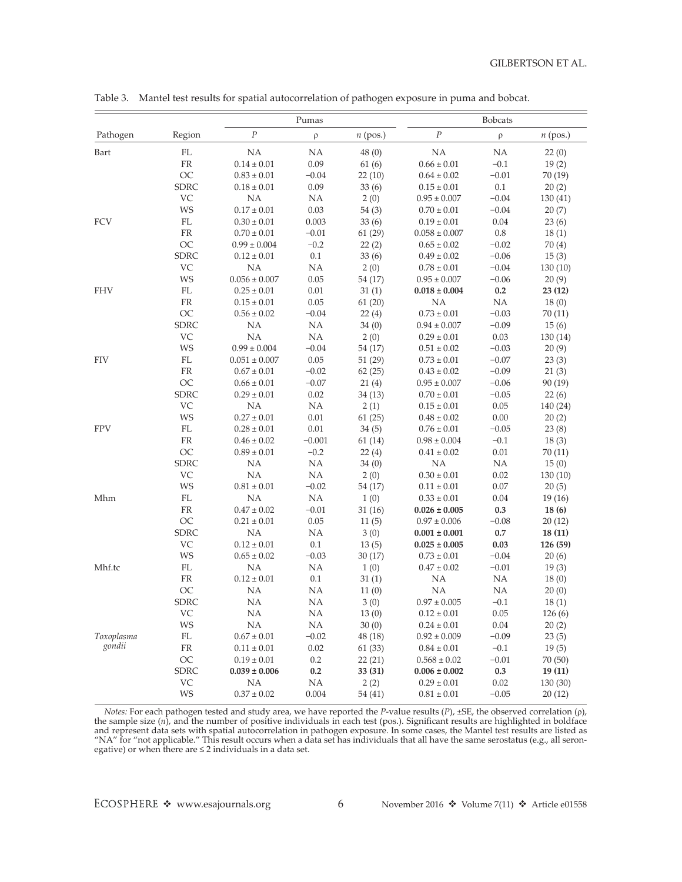|            |                            |                         | Pumas           |                   | <b>Bobcats</b>                      |          |                |  |
|------------|----------------------------|-------------------------|-----------------|-------------------|-------------------------------------|----------|----------------|--|
| Pathogen   | Region                     | $\cal P$                | $\rho$          | $n$ (pos.)        | $\cal P$                            | $\rho$   | $n$ (pos.)     |  |
| Bart       | $\mathbf{FL}$              | NA                      | NA              | 48(0)             | NA                                  | NA       | 22(0)          |  |
|            | ${\rm FR}$                 | $0.14 \pm 0.01$         | 0.09            | 61(6)             | $0.66 \pm 0.01$                     | $-0.1$   | 19(2)          |  |
|            | OC                         | $0.83\pm0.01$           | $-0.04$         | 22(10)            | $0.64 \pm 0.02$                     | $-0.01$  | 70(19)         |  |
|            | <b>SDRC</b>                | $0.18 \pm 0.01$         | 0.09            | 33(6)             | $0.15\pm0.01$                       | 0.1      | 20(2)          |  |
|            | VC                         | NA                      | <b>NA</b>       | 2(0)              | $0.95 \pm 0.007$                    | $-0.04$  | 130(41)        |  |
|            | WS                         | $0.17 \pm 0.01$         | 0.03            | 54 (3)            | $0.70 \pm 0.01$                     | $-0.04$  | 20(7)          |  |
| <b>FCV</b> | $\mathop{\rm FL}\nolimits$ | $0.30\pm0.01$           | 0.003           | 33(6)             | $0.19 \pm 0.01$                     | 0.04     | 23(6)          |  |
|            | ${\rm FR}$                 | $0.70 \pm 0.01$         | $-0.01$         | 61(29)            | $0.058 \pm 0.007$                   | $0.8\,$  | 18(1)          |  |
|            | OC                         | $0.99 \pm 0.004$        | $-0.2$          | 22(2)             | $0.65 \pm 0.02$                     | $-0.02$  | 70(4)          |  |
|            | <b>SDRC</b>                | $0.12 \pm 0.01$         | 0.1             | 33(6)             | $0.49 \pm 0.02$                     | $-0.06$  | 15(3)          |  |
|            | VC                         | NA                      | NA              | 2(0)              | $0.78\pm0.01$                       | $-0.04$  | 130(10)        |  |
|            | WS                         | $0.056 \pm 0.007$       | 0.05            | 54 (17)           | $0.95 \pm 0.007$                    | $-0.06$  | 20(9)          |  |
| <b>FHV</b> | FL                         | $0.25 \pm 0.01$         | 0.01            | 31(1)             | $0.018 \pm 0.004$                   | 0.2      | 23(12)         |  |
|            | ${\rm FR}$                 | $0.15 \pm 0.01$         | 0.05            | 61(20)            | NA                                  | NA       | 18(0)          |  |
|            | <b>OC</b>                  | $0.56 \pm 0.02$         | $-0.04$         | 22(4)             | $0.73 \pm 0.01$                     | $-0.03$  | 70(11)         |  |
|            | SDRC                       | NA                      | NA              | 34(0)             | $0.94 \pm 0.007$                    | $-0.09$  | 15(6)          |  |
|            | VC                         | NA                      | NA              | 2(0)              | $0.29 \pm 0.01$                     | 0.03     | 130(14)        |  |
|            | WS                         | $0.99 \pm 0.004$        | $-0.04$         | 54 (17)           | $0.51 \pm 0.02$                     | $-0.03$  | 20(9)          |  |
| <b>FIV</b> | FL                         | $0.051 \pm 0.007$       | 0.05            | 51(29)            | $0.73\pm0.01$                       | $-0.07$  | 23(3)          |  |
|            | ${\rm FR}$                 | $0.67 \pm 0.01$         | $-0.02$         | 62(25)            | $0.43 \pm 0.02$                     | $-0.09$  | 21(3)          |  |
|            | OC                         | $0.66 \pm 0.01$         | $-0.07$         | 21(4)             | $0.95 \pm 0.007$                    | $-0.06$  | 90(19)         |  |
|            | <b>SDRC</b>                | $0.29 \pm 0.01$         | 0.02            | 34(13)            | $0.70 \pm 0.01$                     | $-0.05$  | 22(6)          |  |
|            | <b>VC</b>                  | NA                      | NA              | 2(1)              | $0.15 \pm 0.01$                     | 0.05     | 140 (24)       |  |
|            | WS                         | $0.27 \pm 0.01$         | 0.01            | 61(25)            | $0.48 \pm 0.02$                     | 0.00     | 20(2)          |  |
| <b>FPV</b> | $\mathbf{FL}$              | $0.28 \pm 0.01$         | 0.01            | 34(5)             | $0.76 \pm 0.01$                     | $-0.05$  | 23(8)          |  |
|            | FR                         | $0.46 \pm 0.02$         | $-0.001$        | 61(14)            | $0.98 \pm 0.004$                    | $-0.1$   | 18(3)          |  |
|            | OC                         | $0.89 \pm 0.01$         | $-0.2$          | 22(4)             | $0.41 \pm 0.02$                     | 0.01     | 70 (11)        |  |
|            | SDRC                       | NA                      | NA              | 34 <sub>(0)</sub> | NA                                  | NA       | 15(0)          |  |
|            | VC                         | NA                      | NA              | 2(0)              | $0.30 \pm 0.01$                     | 0.02     | 130(10)        |  |
|            | WS                         | $0.81 \pm 0.01$         | $-0.02$         | 54 (17)           | $0.11 \pm 0.01$                     | 0.07     | 20(5)          |  |
| Mhm        | FL                         | NA                      | NA              | 1(0)              | $0.33 \pm 0.01$                     | 0.04     | 19(16)         |  |
|            | ${\rm FR}$                 | $0.47 \pm 0.02$         | $-0.01$         | 31(16)            | $0.026\pm0.005$                     | 0.3      | 18(6)          |  |
|            | <b>OC</b>                  | $0.21 \pm 0.01$         | 0.05            | 11(5)             | $0.97 \pm 0.006$                    | $-0.08$  | 20(12)         |  |
|            | SDRC                       | NA                      | NA              | 3(0)              | $0.001 \pm 0.001$                   | 0.7      | 18(11)         |  |
|            | VC                         | $0.12 \pm 0.01$         | 0.1             | 13(5)             | $0.025 \pm 0.005$                   | 0.03     | 126 (59)       |  |
|            | WS                         | $0.65 \pm 0.02$         | $-0.03$         | 30(17)            | $0.73\pm0.01$                       | $-0.04$  | 20(6)          |  |
| Mhf.tc     | $\mathop{\rm FL}\nolimits$ | NA                      | NA              | 1(0)              | $0.47 \pm 0.02$                     | $-0.01$  | 19(3)          |  |
|            | ${\rm FR}$                 | $0.12 \pm 0.01$         | 0.1             | 31(1)             | NA                                  | NA       | 18(0)          |  |
|            | OC                         | <b>NA</b>               | <b>NA</b>       | 11(0)             | <b>NA</b>                           | NA       | 20(0)          |  |
|            | <b>SDRC</b>                | <b>NA</b>               | <b>NA</b>       | 3(0)              | $0.97 \pm 0.005$                    | $-0.1$   | 18(1)          |  |
|            | VC                         | NA                      | <b>NA</b>       | 13(0)             | $0.12 \pm 0.01$                     | $0.05\,$ |                |  |
|            | WS                         | <b>NA</b>               | <b>NA</b>       | 30(0)             |                                     | 0.04     | 126(6)         |  |
| Toxoplasma | $\mathop{\rm FL}\nolimits$ | $0.67 \pm 0.01$         | $-0.02$         | 48 (18)           | $0.24 \pm 0.01$<br>$0.92 \pm 0.009$ | $-0.09$  | 20(2)<br>23(5) |  |
| gondii     |                            |                         |                 |                   |                                     |          |                |  |
|            | FR                         | $0.11\pm0.01$           | 0.02            | 61 (33)           | $0.84 \pm 0.01$                     | $-0.1$   | 19(5)          |  |
|            | OC                         | $0.19 \pm 0.01$         | 0.2             | 22(21)            | $0.568 \pm 0.02$                    | $-0.01$  | 70 (50)        |  |
|            | <b>SDRC</b><br>VC          | $0.039 \pm 0.006$<br>NA | 0.2<br>$\rm NA$ | 33 (31)           | $0.006 \pm 0.002$                   | 0.3      | 19(11)         |  |
|            |                            |                         |                 | 2(2)              | $0.29 \pm 0.01$                     | 0.02     | 130 (30)       |  |
|            | WS                         | $0.37\pm0.02$           | 0.004           | 54 (41)           | $0.81\pm0.01$                       | $-0.05$  | 20(12)         |  |

Table 3. Mantel test results for spatial autocorrelation of pathogen exposure in puma and bobcat.

*Notes:* For each pathogen tested and study area, we have reported the *P*-value results (*P*), ±SE, the observed correlation (ρ), the sample size (*n*), and the number of positive individuals in each test (pos.). Significant results are highlighted in boldface and represent data sets with spatial autocorrelation in pathogen exposure. In some cases, the Mantel test results are listed as "NA" for "not applicable." This result occurs when a data set has individuals that all have the same serostatus (e.g., all seronegative) or when there are ≤ 2 individuals in a data set.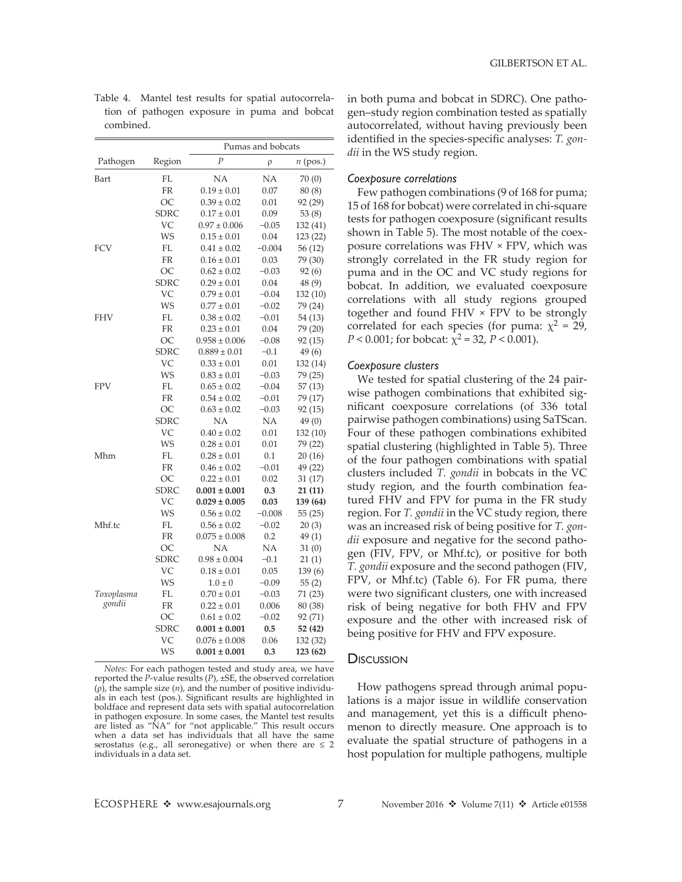|            |             |                   | Pumas and bobcats |            |
|------------|-------------|-------------------|-------------------|------------|
| Pathogen   | Region      | $\overline{P}$    | ρ                 | $n$ (pos.) |
| Bart       | FL          | NA                | NA                | 70(0)      |
|            | FR          | $0.19 \pm 0.01$   | 0.07              | 80 (8)     |
|            | ОC          | $0.39 \pm 0.02$   | 0.01              | 92 (29)    |
|            | <b>SDRC</b> | $0.17 \pm 0.01$   | 0.09              | 53(8)      |
|            | VC.         | $0.97 \pm 0.006$  | $-0.05$           | 132 (41)   |
|            | WS          | $0.15 \pm 0.01$   | 0.04              | 123 (22)   |
| <b>FCV</b> | FL          | $0.41 \pm 0.02$   | $-0.004$          | 56 (12)    |
|            | FR          | $0.16 \pm 0.01$   | 0.03              | 79 (30)    |
|            | OC          | $0.62 \pm 0.02$   | $-0.03$           | 92(6)      |
|            | <b>SDRC</b> | $0.29 \pm 0.01$   | 0.04              | 48(9)      |
|            | VC          | $0.79 \pm 0.01$   | $-0.04$           | 132 (10)   |
|            | WS          | $0.77 \pm 0.01$   | $-0.02$           | 79 (24)    |
| <b>FHV</b> | FL          | $0.38 \pm 0.02$   | $-0.01$           | 54 (13)    |
|            | FR          | $0.23 \pm 0.01$   | 0.04              | 79 (20)    |
|            | ОC          | $0.958 \pm 0.006$ | $-0.08$           | 92 (15)    |
|            | <b>SDRC</b> | $0.889 \pm 0.01$  | $-0.1$            | 49 (6)     |
|            | VC          | $0.33 \pm 0.01$   | 0.01              | 132 (14)   |
|            | WS          | $0.83 \pm 0.01$   | $-0.03$           | 79 (25)    |
| <b>FPV</b> | FL          | $0.65 \pm 0.02$   | $-0.04$           | 57 (13)    |
|            | FR          | $0.54 \pm 0.02$   | $-0.01$           | 79 (17)    |
|            | ОC          | $0.63 \pm 0.02$   | $-0.03$           | 92 (15)    |
|            | <b>SDRC</b> | NA                | NA                | 49(0)      |
|            | VC          | $0.40 \pm 0.02$   | 0.01              | 132 (10)   |
|            | WS          | $0.28 \pm 0.01$   | 0.01              | 79 (22)    |
| Mhm        | FL          | $0.28 \pm 0.01$   | 0.1               | 20(16)     |
|            | FR          | $0.46 \pm 0.02$   | $-0.01$           | 49 (22)    |
|            | OC          | $0.22 \pm 0.01$   | 0.02              | 31 (17)    |
|            | <b>SDRC</b> | $0.001 \pm 0.001$ | 0.3               | 21 (11)    |
|            | VC          | $0.029 \pm 0.005$ | 0.03              | 139 (64)   |
|            | WS          | $0.56 \pm 0.02$   | $-0.008$          | 55 (25)    |
| Mhf.tc     | FL          | $0.56 \pm 0.02$   | $-0.02$           | 20(3)      |
|            | FR          | $0.075 \pm 0.008$ | 0.2               | 49(1)      |
|            | OC          | NA                | NA                | 31(0)      |
|            | <b>SDRC</b> | $0.98 \pm 0.004$  | $-0.1$            | 21(1)      |
|            | VC          | $0.18 \pm 0.01$   | 0.05              | 139(6)     |
|            | WS          | $1.0 \pm 0$       | $-0.09$           | 55(2)      |
| Toxoplasma | FL          | $0.70 \pm 0.01$   | $-0.03$           | 71 (23)    |
| gondii     | FR          | $0.22 \pm 0.01$   | 0.006             | 80 (38)    |
|            | OC          | $0.61 \pm 0.02$   | $-0.02$           | 92 (71)    |
|            | <b>SDRC</b> | $0.001 \pm 0.001$ | 0.5               | 52 (42)    |
|            | VC          | $0.076 \pm 0.008$ | 0.06              | 132 (32)   |
|            | WS          | $0.001 \pm 0.001$ | 0.3               | 123 (62)   |

Table 4. Mantel test results for spatial autocorrelation of pathogen exposure in puma and bobcat combined.

*Notes:* For each pathogen tested and study area, we have reported the *P*-value results (*P*), ±SE, the observed correlation (ρ), the sample size (*n*), and the number of positive individuals in each test (pos.). Significant results are highlighted in boldface and represent data sets with spatial autocorrelation in pathogen exposure. In some cases, the Mantel test results are listed as "NA" for "not applicable." This result occurs when a data set has individuals that all have the same serostatus (e.g., all seronegative) or when there are  $\leq 2$ individuals in a data set.

in both puma and bobcat in SDRC). One pathogen–study region combination tested as spatially autocorrelated, without having previously been identified in the species-specific analyses: *T. gondii* in the WS study region.

#### *Coexposure correlations*

Few pathogen combinations (9 of 168 for puma; 15 of 168 for bobcat) were correlated in chi-square tests for pathogen coexposure (significant results shown in Table 5). The most notable of the coexposure correlations was FHV × FPV, which was strongly correlated in the FR study region for puma and in the OC and VC study regions for bobcat. In addition, we evaluated coexposure correlations with all study regions grouped together and found FHV × FPV to be strongly correlated for each species (for puma:  $\chi^2$  = 29, *P* < 0.001; for bobcat:  $\chi^2$  = 32, *P* < 0.001).

#### *Coexposure clusters*

We tested for spatial clustering of the 24 pairwise pathogen combinations that exhibited significant coexposure correlations (of 336 total pairwise pathogen combinations) using SaTScan. Four of these pathogen combinations exhibited spatial clustering (highlighted in Table 5). Three of the four pathogen combinations with spatial clusters included *T. gondii* in bobcats in the VC study region, and the fourth combination featured FHV and FPV for puma in the FR study region. For *T. gondii* in the VC study region, there was an increased risk of being positive for *T. gondii* exposure and negative for the second pathogen (FIV, FPV, or Mhf.tc), or positive for both *T. gondii* exposure and the second pathogen (FIV, FPV, or Mhf.tc) (Table 6). For FR puma, there were two significant clusters, one with increased risk of being negative for both FHV and FPV exposure and the other with increased risk of being positive for FHV and FPV exposure.

### **Discussion**

How pathogens spread through animal populations is a major issue in wildlife conservation and management, yet this is a difficult phenomenon to directly measure. One approach is to evaluate the spatial structure of pathogens in a host population for multiple pathogens, multiple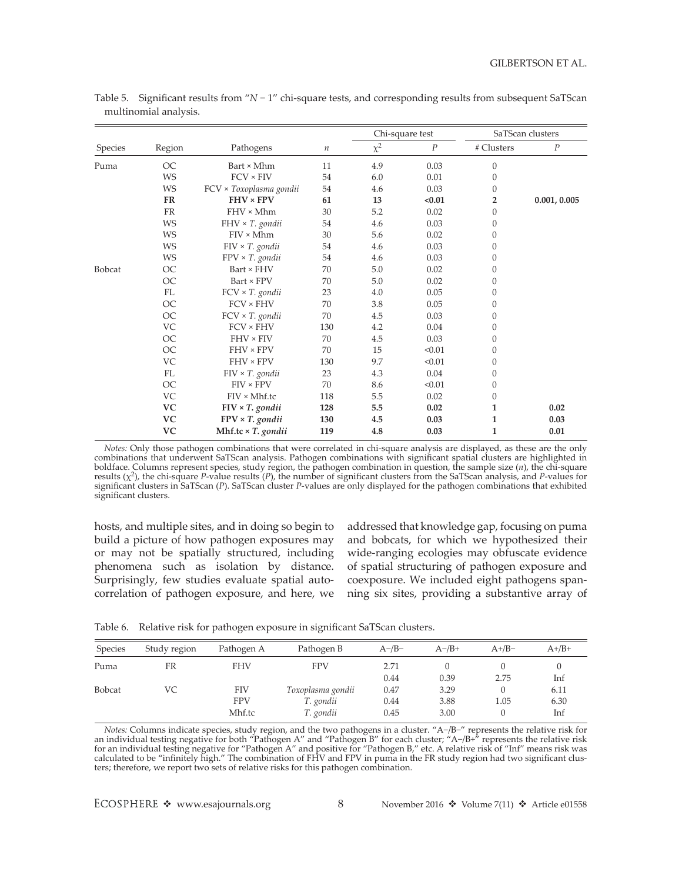|         |           |                           |         |          | Chi-square test  |                | SaTScan clusters |  |
|---------|-----------|---------------------------|---------|----------|------------------|----------------|------------------|--|
| Species | Region    | Pathogens                 | $\it n$ | $\chi^2$ | $\boldsymbol{P}$ | # Clusters     | $\cal P$         |  |
| Puma    | <b>OC</b> | Bart × Mhm                | 11      | 4.9      | 0.03             | $\mathbf{0}$   |                  |  |
|         | <b>WS</b> | $FCV \times FIV$          | 54      | 6.0      | 0.01             | $\Omega$       |                  |  |
|         | WS        | FCV × Toxoplasma gondii   | 54      | 4.6      | 0.03             | $\Omega$       |                  |  |
|         | <b>FR</b> | $FHV \times FPV$          | 61      | 13       | < 0.01           | $\overline{2}$ | 0.001, 0.005     |  |
|         | FR        | $FHV \times Mhm$          | 30      | 5.2      | 0.02             | $\mathbf{0}$   |                  |  |
|         | <b>WS</b> | FHV × T. gondii           | 54      | 4.6      | 0.03             | $\mathbf{0}$   |                  |  |
|         | <b>WS</b> | $FIV \times Mhm$          | 30      | 5.6      | 0.02             | $\mathbf{0}$   |                  |  |
|         | WS        | $FIV \times T$ . gondii   | 54      | 4.6      | 0.03             | $\Omega$       |                  |  |
|         | WS        | $FPV \times T$ . gondii   | 54      | 4.6      | 0.03             | $\mathbf{0}$   |                  |  |
| Bobcat  | OC        | Bart × FHV                | 70      | 5.0      | 0.02             | $\Omega$       |                  |  |
|         | <b>OC</b> | Bart × FPV                | 70      | 5.0      | 0.02             | $\mathbf{0}$   |                  |  |
|         | FL        | FCV × T. gondii           | 23      | 4.0      | 0.05             | $\Omega$       |                  |  |
|         | OC        | $FCV \times FHV$          | 70      | 3.8      | 0.05             | $\mathbf{0}$   |                  |  |
|         | <b>OC</b> | FCV × T. gondii           | 70      | 4.5      | 0.03             | $\theta$       |                  |  |
|         | VC        | $FCV \times FHV$          | 130     | 4.2      | 0.04             | $\Omega$       |                  |  |
|         | <b>OC</b> | $FHV \times FIV$          | 70      | 4.5      | 0.03             | $\Omega$       |                  |  |
|         | <b>OC</b> | FHV × FPV                 | 70      | 15       | < 0.01           | $\mathbf{0}$   |                  |  |
|         | VC        | FHV × FPV                 | 130     | 9.7      | < 0.01           | $\theta$       |                  |  |
|         | FL        | $FIV \times T$ . gondii   | 23      | 4.3      | 0.04             | $\mathbf{0}$   |                  |  |
|         | <b>OC</b> | $FIV \times FPV$          | 70      | 8.6      | < 0.01           | $\mathbf{0}$   |                  |  |
|         | VC        | $FIV \times Mhf.tc$       | 118     | 5.5      | 0.02             | $\mathbf{0}$   |                  |  |
|         | <b>VC</b> | $FIV \times T$ . gondii   | 128     | 5.5      | 0.02             | 1              | 0.02             |  |
|         | <b>VC</b> | $FPV \times T$ . gondii   | 130     | 4.5      | 0.03             | 1              | 0.03             |  |
|         | <b>VC</b> | Mhf.tc $\times$ T. gondii | 119     | 4.8      | 0.03             | $\mathbf{1}$   | 0.01             |  |

Table 5. Significant results from "*N* − 1" chi-square tests, and corresponding results from subsequent SaTScan multinomial analysis.

*Notes:* Only those pathogen combinations that were correlated in chi-square analysis are displayed, as these are the only combinations that underwent SaTScan analysis. Pathogen combinations with significant spatial clusters are highlighted in boldface. Columns represent species, study region, the pathogen combination in question, the sample size  $(n)$ , the chi-square results  $(\chi^2)$ , the chi-square P-value results  $(P)$ , the number of significant clusters from t significant clusters in SaTScan (*P*). SaTScan cluster *P*-values are only displayed for the pathogen combinations that exhibited significant clusters.

hosts, and multiple sites, and in doing so begin to build a picture of how pathogen exposures may or may not be spatially structured, including phenomena such as isolation by distance. Surprisingly, few studies evaluate spatial autocorrelation of pathogen exposure, and here, we addressed that knowledge gap, focusing on puma and bobcats, for which we hypothesized their wide-ranging ecologies may obfuscate evidence of spatial structuring of pathogen exposure and coexposure. We included eight pathogens spanning six sites, providing a substantive array of

|  |  | Table 6. Relative risk for pathogen exposure in significant SaTScan clusters. |
|--|--|-------------------------------------------------------------------------------|
|  |  |                                                                               |

| Species       | Study region | Pathogen A | Pathogen B        | $A$ -/B- | $A - /B +$ | $A+/B-$ | $A+ /B+$ |
|---------------|--------------|------------|-------------------|----------|------------|---------|----------|
| Puma          | FR           | <b>FHV</b> | <b>FPV</b>        | 2.71     |            |         |          |
|               |              |            |                   | 0.44     | 0.39       | 2.75    | Inf      |
| <b>Bobcat</b> | VC           | FIV        | Toxoplasma gondii | 0.47     | 3.29       |         | 6.11     |
|               |              | <b>FPV</b> | T. gondii         | 0.44     | 3.88       | 1.05    | 6.30     |
|               |              | Mhf.tc     | T. gondii         | 0.45     | 3.00       |         | Inf      |

*Notes:* Columns indicate species, study region, and the two pathogens in a cluster. "A−/B−" represents the relative risk for an individual testing negative for both "Pathogen A" and "Pathogen B" for each cluster; "A−/B+" represents the relative risk for an individual testing negative for "Pathogen A" and positive for "Pathogen B," etc. A relative risk of "Inf" means risk was calculated to be "infinitely high." The combination of FHV and FPV in puma in the FR study region had two significant clusters; therefore, we report two sets of relative risks for this pathogen combination.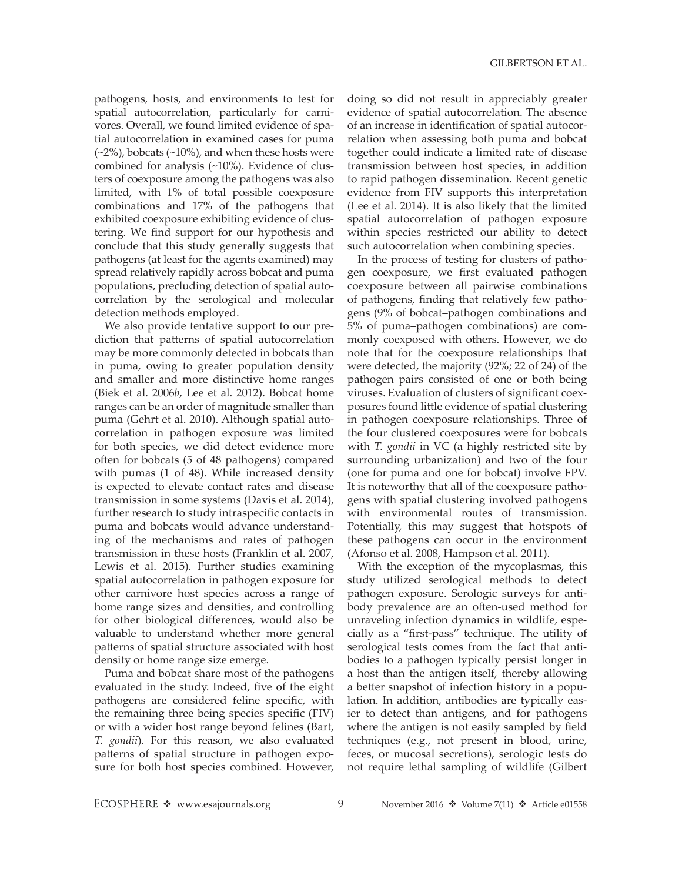pathogens, hosts, and environments to test for spatial autocorrelation, particularly for carnivores. Overall, we found limited evidence of spatial autocorrelation in examined cases for puma  $(-2%)$ , bobcats  $(-10%)$ , and when these hosts were combined for analysis (~10%). Evidence of clusters of coexposure among the pathogens was also limited, with 1% of total possible coexposure combinations and 17% of the pathogens that exhibited coexposure exhibiting evidence of clustering. We find support for our hypothesis and conclude that this study generally suggests that pathogens (at least for the agents examined) may spread relatively rapidly across bobcat and puma populations, precluding detection of spatial autocorrelation by the serological and molecular detection methods employed.

We also provide tentative support to our prediction that patterns of spatial autocorrelation may be more commonly detected in bobcats than in puma, owing to greater population density and smaller and more distinctive home ranges (Biek et al. 2006*b*, Lee et al. 2012). Bobcat home ranges can be an order of magnitude smaller than puma (Gehrt et al. 2010). Although spatial autocorrelation in pathogen exposure was limited for both species, we did detect evidence more often for bobcats (5 of 48 pathogens) compared with pumas (1 of 48). While increased density is expected to elevate contact rates and disease transmission in some systems (Davis et al. 2014), further research to study intraspecific contacts in puma and bobcats would advance understanding of the mechanisms and rates of pathogen transmission in these hosts (Franklin et al. 2007, Lewis et al. 2015). Further studies examining spatial autocorrelation in pathogen exposure for other carnivore host species across a range of home range sizes and densities, and controlling for other biological differences, would also be valuable to understand whether more general patterns of spatial structure associated with host density or home range size emerge.

Puma and bobcat share most of the pathogens evaluated in the study. Indeed, five of the eight pathogens are considered feline specific, with the remaining three being species specific (FIV) or with a wider host range beyond felines (Bart, *T. gondii*). For this reason, we also evaluated patterns of spatial structure in pathogen exposure for both host species combined. However,

doing so did not result in appreciably greater evidence of spatial autocorrelation. The absence of an increase in identification of spatial autocorrelation when assessing both puma and bobcat together could indicate a limited rate of disease transmission between host species, in addition to rapid pathogen dissemination. Recent genetic evidence from FIV supports this interpretation (Lee et al. 2014). It is also likely that the limited spatial autocorrelation of pathogen exposure within species restricted our ability to detect such autocorrelation when combining species.

In the process of testing for clusters of pathogen coexposure, we first evaluated pathogen coexposure between all pairwise combinations of pathogens, finding that relatively few pathogens (9% of bobcat–pathogen combinations and 5% of puma–pathogen combinations) are commonly coexposed with others. However, we do note that for the coexposure relationships that were detected, the majority (92%; 22 of 24) of the pathogen pairs consisted of one or both being viruses. Evaluation of clusters of significant coexposures found little evidence of spatial clustering in pathogen coexposure relationships. Three of the four clustered coexposures were for bobcats with *T. gondii* in VC (a highly restricted site by surrounding urbanization) and two of the four (one for puma and one for bobcat) involve FPV. It is noteworthy that all of the coexposure pathogens with spatial clustering involved pathogens with environmental routes of transmission. Potentially, this may suggest that hotspots of these pathogens can occur in the environment (Afonso et al. 2008, Hampson et al. 2011).

With the exception of the mycoplasmas, this study utilized serological methods to detect pathogen exposure. Serologic surveys for antibody prevalence are an often-used method for unraveling infection dynamics in wildlife, especially as a "first-pass" technique. The utility of serological tests comes from the fact that antibodies to a pathogen typically persist longer in a host than the antigen itself, thereby allowing a better snapshot of infection history in a population. In addition, antibodies are typically easier to detect than antigens, and for pathogens where the antigen is not easily sampled by field techniques (e.g., not present in blood, urine, feces, or mucosal secretions), serologic tests do not require lethal sampling of wildlife (Gilbert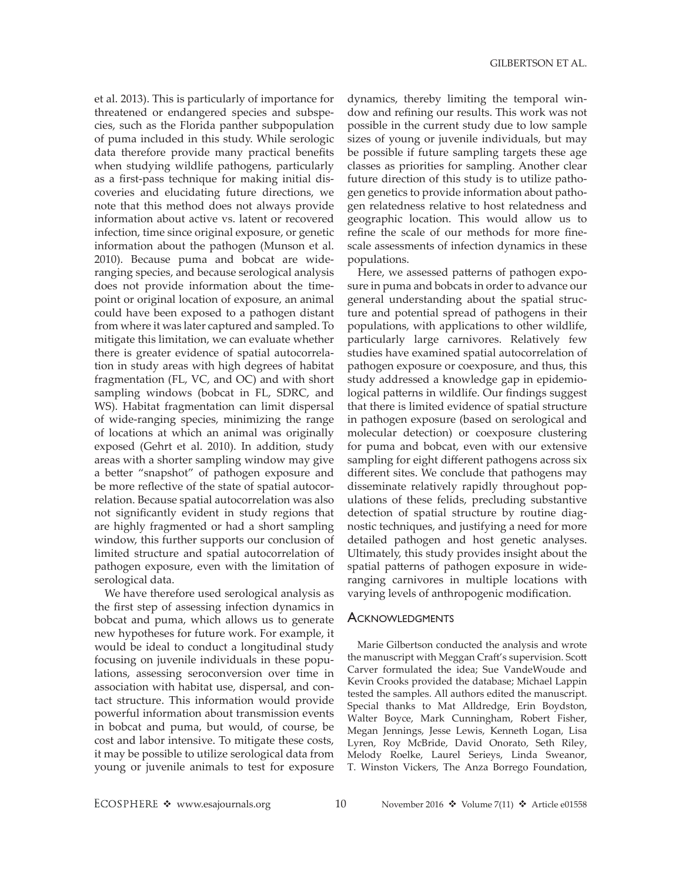et al. 2013). This is particularly of importance for threatened or endangered species and subspecies, such as the Florida panther subpopulation of puma included in this study. While serologic data therefore provide many practical benefits when studying wildlife pathogens, particularly as a first-pass technique for making initial discoveries and elucidating future directions, we note that this method does not always provide information about active vs. latent or recovered infection, time since original exposure, or genetic information about the pathogen (Munson et al. 2010). Because puma and bobcat are wideranging species, and because serological analysis does not provide information about the timepoint or original location of exposure, an animal could have been exposed to a pathogen distant from where it was later captured and sampled. To mitigate this limitation, we can evaluate whether there is greater evidence of spatial autocorrelation in study areas with high degrees of habitat fragmentation (FL, VC, and OC) and with short sampling windows (bobcat in FL, SDRC, and WS). Habitat fragmentation can limit dispersal of wide-ranging species, minimizing the range of locations at which an animal was originally exposed (Gehrt et al. 2010). In addition, study areas with a shorter sampling window may give a better "snapshot" of pathogen exposure and be more reflective of the state of spatial autocorrelation. Because spatial autocorrelation was also not significantly evident in study regions that are highly fragmented or had a short sampling window, this further supports our conclusion of limited structure and spatial autocorrelation of pathogen exposure, even with the limitation of serological data.

We have therefore used serological analysis as the first step of assessing infection dynamics in bobcat and puma, which allows us to generate new hypotheses for future work. For example, it would be ideal to conduct a longitudinal study focusing on juvenile individuals in these populations, assessing seroconversion over time in association with habitat use, dispersal, and contact structure. This information would provide powerful information about transmission events in bobcat and puma, but would, of course, be cost and labor intensive. To mitigate these costs, it may be possible to utilize serological data from young or juvenile animals to test for exposure

dynamics, thereby limiting the temporal window and refining our results. This work was not possible in the current study due to low sample sizes of young or juvenile individuals, but may be possible if future sampling targets these age classes as priorities for sampling. Another clear future direction of this study is to utilize pathogen genetics to provide information about pathogen relatedness relative to host relatedness and geographic location. This would allow us to refine the scale of our methods for more finescale assessments of infection dynamics in these populations.

Here, we assessed patterns of pathogen exposure in puma and bobcats in order to advance our general understanding about the spatial structure and potential spread of pathogens in their populations, with applications to other wildlife, particularly large carnivores. Relatively few studies have examined spatial autocorrelation of pathogen exposure or coexposure, and thus, this study addressed a knowledge gap in epidemiological patterns in wildlife. Our findings suggest that there is limited evidence of spatial structure in pathogen exposure (based on serological and molecular detection) or coexposure clustering for puma and bobcat, even with our extensive sampling for eight different pathogens across six different sites. We conclude that pathogens may disseminate relatively rapidly throughout populations of these felids, precluding substantive detection of spatial structure by routine diagnostic techniques, and justifying a need for more detailed pathogen and host genetic analyses. Ultimately, this study provides insight about the spatial patterns of pathogen exposure in wideranging carnivores in multiple locations with varying levels of anthropogenic modification.

## **ACKNOWLEDGMENTS**

Marie Gilbertson conducted the analysis and wrote the manuscript with Meggan Craft's supervision. Scott Carver formulated the idea; Sue VandeWoude and Kevin Crooks provided the database; Michael Lappin tested the samples. All authors edited the manuscript. Special thanks to Mat Alldredge, Erin Boydston, Walter Boyce, Mark Cunningham, Robert Fisher, Megan Jennings, Jesse Lewis, Kenneth Logan, Lisa Lyren, Roy McBride, David Onorato, Seth Riley, Melody Roelke, Laurel Serieys, Linda Sweanor, T. Winston Vickers, The Anza Borrego Foundation,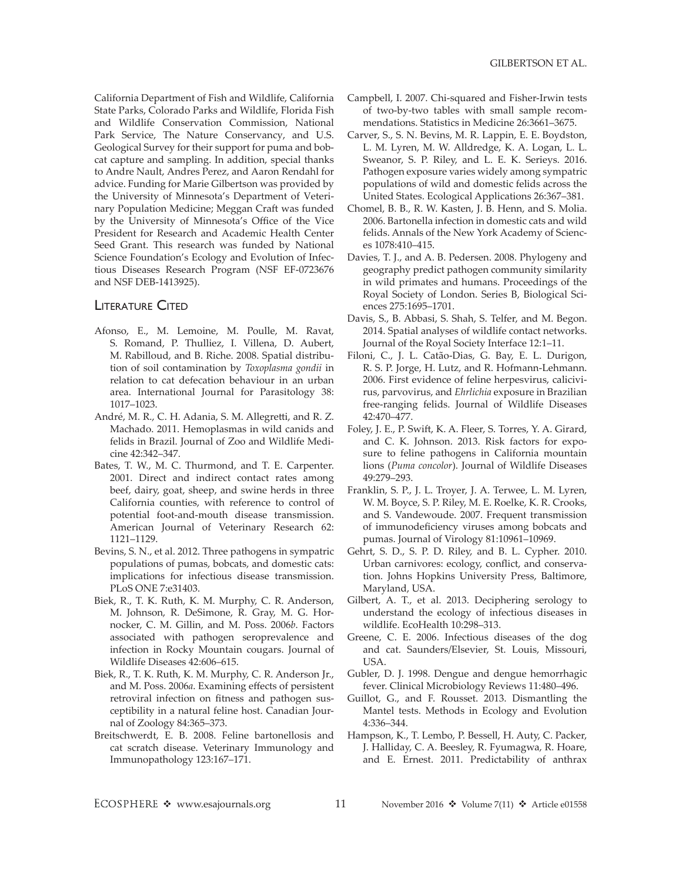California Department of Fish and Wildlife, California State Parks, Colorado Parks and Wildlife, Florida Fish and Wildlife Conservation Commission, National Park Service, The Nature Conservancy, and U.S. Geological Survey for their support for puma and bobcat capture and sampling. In addition, special thanks to Andre Nault, Andres Perez, and Aaron Rendahl for advice. Funding for Marie Gilbertson was provided by the University of Minnesota's Department of Veterinary Population Medicine; Meggan Craft was funded by the University of Minnesota's Office of the Vice President for Research and Academic Health Center Seed Grant. This research was funded by National Science Foundation's Ecology and Evolution of Infectious Diseases Research Program (NSF EF-0723676 and NSF DEB-1413925).

## **LITERATURE CITED**

- Afonso, E., M. Lemoine, M. Poulle, M. Ravat, S. Romand, P. Thulliez, I. Villena, D. Aubert, M. Rabilloud, and B. Riche. 2008. Spatial distribution of soil contamination by *Toxoplasma gondii* in relation to cat defecation behaviour in an urban area. International Journal for Parasitology 38: 1017–1023.
- André, M. R., C. H. Adania, S. M. Allegretti, and R. Z. Machado. 2011. Hemoplasmas in wild canids and felids in Brazil. Journal of Zoo and Wildlife Medicine 42:342–347.
- Bates, T. W., M. C. Thurmond, and T. E. Carpenter. 2001. Direct and indirect contact rates among beef, dairy, goat, sheep, and swine herds in three California counties, with reference to control of potential foot-and-mouth disease transmission. American Journal of Veterinary Research 62: 1121–1129.
- Bevins, S. N., et al. 2012. Three pathogens in sympatric populations of pumas, bobcats, and domestic cats: implications for infectious disease transmission. PLoS ONE 7:e31403.
- Biek, R., T. K. Ruth, K. M. Murphy, C. R. Anderson, M. Johnson, R. DeSimone, R. Gray, M. G. Hornocker, C. M. Gillin, and M. Poss. 2006*b*. Factors associated with pathogen seroprevalence and infection in Rocky Mountain cougars. Journal of Wildlife Diseases 42:606–615.
- Biek, R., T. K. Ruth, K. M. Murphy, C. R. Anderson Jr., and M. Poss. 2006*a*. Examining effects of persistent retroviral infection on fitness and pathogen susceptibility in a natural feline host. Canadian Journal of Zoology 84:365–373.
- Breitschwerdt, E. B. 2008. Feline bartonellosis and cat scratch disease. Veterinary Immunology and Immunopathology 123:167–171.
- Campbell, I. 2007. Chi-squared and Fisher-Irwin tests of two-by-two tables with small sample recommendations. Statistics in Medicine 26:3661–3675.
- Carver, S., S. N. Bevins, M. R. Lappin, E. E. Boydston, L. M. Lyren, M. W. Alldredge, K. A. Logan, L. L. Sweanor, S. P. Riley, and L. E. K. Serieys. 2016. Pathogen exposure varies widely among sympatric populations of wild and domestic felids across the United States. Ecological Applications 26:367–381.
- Chomel, B. B., R. W. Kasten, J. B. Henn, and S. Molia. 2006. Bartonella infection in domestic cats and wild felids. Annals of the New York Academy of Sciences 1078:410–415.
- Davies, T. J., and A. B. Pedersen. 2008. Phylogeny and geography predict pathogen community similarity in wild primates and humans. Proceedings of the Royal Society of London. Series B, Biological Sciences 275:1695–1701.
- Davis, S., B. Abbasi, S. Shah, S. Telfer, and M. Begon. 2014. Spatial analyses of wildlife contact networks. Journal of the Royal Society Interface 12:1–11.
- Filoni, C., J. L. Catão-Dias, G. Bay, E. L. Durigon, R. S. P. Jorge, H. Lutz, and R. Hofmann-Lehmann. 2006. First evidence of feline herpesvirus, calicivirus, parvovirus, and *Ehrlichia* exposure in Brazilian free-ranging felids. Journal of Wildlife Diseases 42:470–477.
- Foley, J. E., P. Swift, K. A. Fleer, S. Torres, Y. A. Girard, and C. K. Johnson. 2013. Risk factors for exposure to feline pathogens in California mountain lions (*Puma concolor*). Journal of Wildlife Diseases 49:279–293.
- Franklin, S. P., J. L. Troyer, J. A. Terwee, L. M. Lyren, W. M. Boyce, S. P. Riley, M. E. Roelke, K. R. Crooks, and S. Vandewoude. 2007. Frequent transmission of immunodeficiency viruses among bobcats and pumas. Journal of Virology 81:10961–10969.
- Gehrt, S. D., S. P. D. Riley, and B. L. Cypher. 2010. Urban carnivores: ecology, conflict, and conservation. Johns Hopkins University Press, Baltimore, Maryland, USA.
- Gilbert, A. T., et al. 2013. Deciphering serology to understand the ecology of infectious diseases in wildlife. EcoHealth 10:298–313.
- Greene, C. E. 2006. Infectious diseases of the dog and cat. Saunders/Elsevier, St. Louis, Missouri, USA.
- Gubler, D. J. 1998. Dengue and dengue hemorrhagic fever. Clinical Microbiology Reviews 11:480–496.
- Guillot, G., and F. Rousset. 2013. Dismantling the Mantel tests. Methods in Ecology and Evolution 4:336–344.
- Hampson, K., T. Lembo, P. Bessell, H. Auty, C. Packer, J. Halliday, C. A. Beesley, R. Fyumagwa, R. Hoare, and E. Ernest. 2011. Predictability of anthrax

ECOSPHERE \* www.esajournals.org 11 November 2016 \* Volume 7(11) \* Article e01558